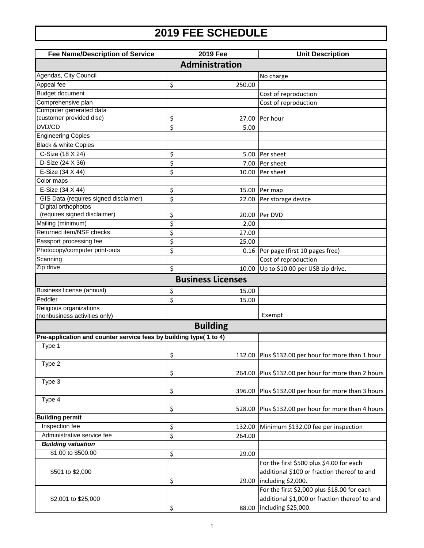## **2019 FEE SCHEDULE**

| <b>Fee Name/Description of Service</b>                             | 2019 Fee                 |                | <b>Unit Description</b>                                |  |
|--------------------------------------------------------------------|--------------------------|----------------|--------------------------------------------------------|--|
| Administration                                                     |                          |                |                                                        |  |
| Agendas, City Council                                              |                          |                | No charge                                              |  |
| Appeal fee                                                         | \$                       | 250.00         |                                                        |  |
| <b>Budget document</b>                                             |                          |                | Cost of reproduction                                   |  |
| Comprehensive plan                                                 |                          |                | Cost of reproduction                                   |  |
| Computer generated data                                            |                          |                |                                                        |  |
| (customer provided disc)                                           | \$                       | 27.00          | Per hour                                               |  |
| DVD/CD                                                             | \$                       | 5.00           |                                                        |  |
| <b>Engineering Copies</b>                                          |                          |                |                                                        |  |
| <b>Black &amp; white Copies</b>                                    |                          |                |                                                        |  |
| C-Size (18 X 24)                                                   | \$                       | 5.00           | Per sheet                                              |  |
| D-Size (24 X 36)                                                   | \$                       | 7.00           | Per sheet                                              |  |
| E-Size (34 X 44)                                                   | \$                       | 10.00          | Per sheet                                              |  |
| Color maps                                                         |                          |                |                                                        |  |
| E-Size (34 X 44)                                                   | \$                       | 15.00          | Per map                                                |  |
| GIS Data (requires signed disclaimer)                              | \$                       | 22.00          | Per storage device                                     |  |
| Digital orthophotos<br>(requires signed disclaimer)                |                          |                | Per DVD                                                |  |
| Mailing (minimum)                                                  | \$<br>\$                 | 20.00<br>2.00  |                                                        |  |
| Returned item/NSF checks                                           |                          |                |                                                        |  |
| Passport processing fee                                            | \$<br>\$                 | 27.00<br>25.00 |                                                        |  |
| Photocopy/computer print-outs                                      | \$                       |                |                                                        |  |
| Scanning                                                           |                          | 0.16           | Per page (first 10 pages free)<br>Cost of reproduction |  |
| Zip drive                                                          | \$                       | 10.00          | Up to \$10.00 per USB zip drive.                       |  |
|                                                                    |                          |                |                                                        |  |
|                                                                    | <b>Business Licenses</b> |                |                                                        |  |
| Business license (annual)                                          | \$                       | 15.00          |                                                        |  |
| Peddler                                                            | \$                       | 15.00          |                                                        |  |
| Religious organizations                                            |                          |                |                                                        |  |
| (nonbusiness activities only)                                      |                          |                | Exempt                                                 |  |
|                                                                    | <b>Building</b>          |                |                                                        |  |
| Pre-application and counter service fees by building type( 1 to 4) |                          |                |                                                        |  |
| Type 1                                                             |                          |                |                                                        |  |
|                                                                    | \$                       |                | 132.00 Plus \$132.00 per hour for more than 1 hour     |  |
| Type 2                                                             |                          |                |                                                        |  |
|                                                                    | \$                       | 264.00         | Plus \$132.00 per hour for more than 2 hours           |  |
| Type 3                                                             |                          |                |                                                        |  |
|                                                                    | \$                       | 396.00         | Plus \$132.00 per hour for more than 3 hours           |  |
| Type 4                                                             |                          |                |                                                        |  |
|                                                                    | \$                       | 528.00         | Plus \$132.00 per hour for more than 4 hours           |  |
| <b>Building permit</b>                                             |                          |                |                                                        |  |
| Inspection fee                                                     | \$                       | 132.00         | Minimum \$132.00 fee per inspection                    |  |
| Administrative service fee                                         | \$                       | 264.00         |                                                        |  |
| <b>Building valuation</b>                                          |                          |                |                                                        |  |
| \$1.00 to \$500.00                                                 | \$                       | 29.00          |                                                        |  |
|                                                                    |                          |                | For the first \$500 plus \$4.00 for each               |  |
| \$501 to \$2,000                                                   |                          |                | additional \$100 or fraction thereof to and            |  |
|                                                                    | \$                       | 29.00          | including \$2,000.                                     |  |
|                                                                    |                          |                | For the first \$2,000 plus \$18.00 for each            |  |
| \$2,001 to \$25,000                                                |                          |                | additional \$1,000 or fraction thereof to and          |  |
|                                                                    | \$                       |                | 88.00 including \$25,000.                              |  |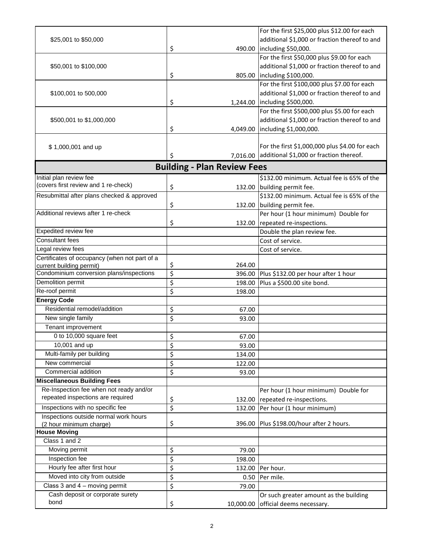|                                               |                  |                                    | For the first \$25,000 plus \$12.00 for each     |
|-----------------------------------------------|------------------|------------------------------------|--------------------------------------------------|
| \$25,001 to \$50,000                          |                  |                                    | additional \$1,000 or fraction thereof to and    |
|                                               | \$               |                                    | 490.00 lincluding \$50,000.                      |
|                                               |                  |                                    | For the first \$50,000 plus \$9.00 for each      |
| \$50,001 to \$100,000                         |                  |                                    | additional \$1,000 or fraction thereof to and    |
|                                               | \$               |                                    | 805.00 including \$100,000.                      |
|                                               |                  |                                    | For the first \$100,000 plus \$7.00 for each     |
| \$100,001 to 500,000                          |                  |                                    | additional \$1,000 or fraction thereof to and    |
|                                               | \$               |                                    | 1,244.00  including \$500,000.                   |
|                                               |                  |                                    | For the first \$500,000 plus \$5.00 for each     |
| \$500,001 to \$1,000,000                      |                  |                                    | additional \$1,000 or fraction thereof to and    |
|                                               | \$               |                                    | 4,049.00   including \$1,000,000.                |
|                                               |                  |                                    |                                                  |
| \$1,000,001 and up                            |                  |                                    | For the first \$1,000,000 plus \$4.00 for each   |
|                                               | \$               |                                    | 7,016.00 additional \$1,000 or fraction thereof. |
|                                               |                  |                                    |                                                  |
|                                               |                  | <b>Building - Plan Review Fees</b> |                                                  |
| Initial plan review fee                       |                  |                                    | \$132.00 minimum. Actual fee is 65% of the       |
| (covers first review and 1 re-check)          | \$               |                                    | 132.00 building permit fee.                      |
| Resubmittal after plans checked & approved    |                  |                                    | \$132.00 minimum. Actual fee is 65% of the       |
|                                               | \$               |                                    | 132.00 building permit fee.                      |
| Additional reviews after 1 re-check           |                  |                                    | Per hour (1 hour minimum) Double for             |
|                                               | \$               |                                    | 132.00 repeated re-inspections.                  |
| Expedited review fee                          |                  |                                    | Double the plan review fee.                      |
| <b>Consultant fees</b>                        |                  |                                    | Cost of service.                                 |
| Legal review fees                             |                  |                                    | Cost of service.                                 |
| Certificates of occupancy (when not part of a |                  |                                    |                                                  |
| current building permit)                      | \$               | 264.00                             |                                                  |
| Condominium conversion plans/inspections      | $\overline{\xi}$ | 396.00                             | Plus \$132.00 per hour after 1 hour              |
| Demolition permit                             | \$               | 198.00                             | Plus a \$500.00 site bond.                       |
| Re-roof permit                                | \$               | 198.00                             |                                                  |
| <b>Energy Code</b>                            |                  |                                    |                                                  |
| Residential remodel/addition                  | \$               | 67.00                              |                                                  |
| New single family                             | \$               | 93.00                              |                                                  |
| Tenant improvement                            |                  |                                    |                                                  |
| 0 to 10,000 square feet                       | \$               | 67.00                              |                                                  |
| 10,001 and up                                 | \$               | 93.00                              |                                                  |
| Multi-family per building                     | \$               | 134.00                             |                                                  |
| New commercial                                | \$               | 122.00                             |                                                  |
| Commercial addition                           | \$               | 93.00                              |                                                  |
| <b>Miscellaneous Building Fees</b>            |                  |                                    |                                                  |
| Re-Inspection fee when not ready and/or       |                  |                                    | Per hour (1 hour minimum) Double for             |
| repeated inspections are required             | \$               |                                    | 132.00 repeated re-inspections.                  |
| Inspections with no specific fee              | $\overline{\xi}$ | 132.00                             | Per hour (1 hour minimum)                        |
| Inspections outside normal work hours         |                  |                                    |                                                  |
| (2 hour minimum charge)                       | \$               | 396.00                             | Plus \$198.00/hour after 2 hours.                |
| <b>House Moving</b>                           |                  |                                    |                                                  |
| Class 1 and 2                                 |                  |                                    |                                                  |
| Moving permit                                 | \$               | 79.00                              |                                                  |
| Inspection fee                                | \$               | 198.00                             |                                                  |
| Hourly fee after first hour                   | \$               | 132.00                             | Per hour.                                        |
| Moved into city from outside                  | \$               | 0.50                               | Per mile.                                        |
| Class $3$ and $4$ – moving permit             | \$               | 79.00                              |                                                  |
| Cash deposit or corporate surety              |                  |                                    | Or such greater amount as the building           |
| bond                                          | \$               | 10,000.00                          | official deems necessary.                        |
|                                               |                  |                                    |                                                  |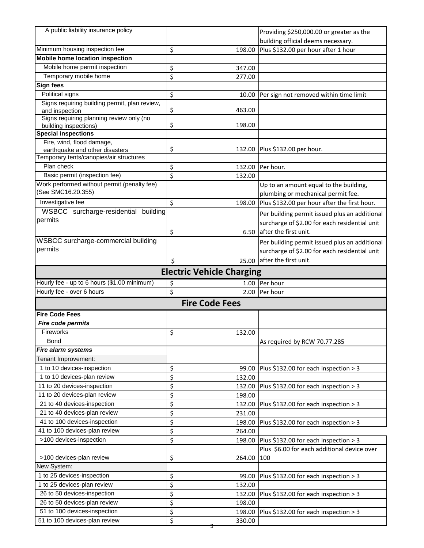| A public liability insurance policy                           |                                  | Providing \$250,000.00 or greater as the      |
|---------------------------------------------------------------|----------------------------------|-----------------------------------------------|
|                                                               |                                  | building official deems necessary.            |
| Minimum housing inspection fee                                | \$<br>198.00                     | Plus \$132.00 per hour after 1 hour           |
| Mobile home location inspection                               |                                  |                                               |
| Mobile home permit inspection                                 | \$<br>347.00                     |                                               |
| Temporary mobile home                                         | \$<br>277.00                     |                                               |
| Sign fees                                                     |                                  |                                               |
| Political signs                                               | \$<br>10.00                      | Per sign not removed within time limit        |
| Signs requiring building permit, plan review,                 |                                  |                                               |
| and inspection                                                | \$<br>463.00                     |                                               |
| Signs requiring planning review only (no                      |                                  |                                               |
| building inspections)                                         | \$<br>198.00                     |                                               |
| <b>Special inspections</b>                                    |                                  |                                               |
| Fire, wind, flood damage,<br>earthquake and other disasters   | \$                               | 132.00 Plus \$132.00 per hour.                |
| Temporary tents/canopies/air structures                       |                                  |                                               |
| Plan check                                                    | \$<br>132.00                     | Per hour.                                     |
| Basic permit (inspection fee)                                 | \$<br>132.00                     |                                               |
| Work performed without permit (penalty fee)                   |                                  | Up to an amount equal to the building,        |
| (See SMC16.20.355)                                            |                                  | plumbing or mechanical permit fee.            |
| Investigative fee                                             | \$<br>198.00                     | Plus \$132.00 per hour after the first hour.  |
| WSBCC surcharge-residential building                          |                                  |                                               |
| permits                                                       |                                  | Per building permit issued plus an additional |
|                                                               |                                  | surcharge of \$2.00 for each residential unit |
|                                                               | \$                               | 6.50 after the first unit.                    |
| WSBCC surcharge-commercial building                           |                                  | Per building permit issued plus an additional |
| permits                                                       |                                  | surcharge of \$2.00 for each residential unit |
|                                                               | \$<br>25.00                      | after the first unit.                         |
|                                                               | <b>Electric Vehicle Charging</b> |                                               |
|                                                               |                                  |                                               |
| Hourly fee - up to 6 hours (\$1.00 minimum)                   | 1.00                             | Per hour                                      |
| Hourly fee - over 6 hours                                     | \$<br>\$<br>2.00                 | Per hour                                      |
|                                                               |                                  |                                               |
|                                                               | <b>Fire Code Fees</b>            |                                               |
| <b>Fire Code Fees</b>                                         |                                  |                                               |
| Fire code permits                                             |                                  |                                               |
| Fireworks                                                     | \$<br>132.00                     |                                               |
| <b>Bond</b>                                                   |                                  | As required by RCW 70.77.285                  |
| Fire alarm systems                                            |                                  |                                               |
| Tenant Improvement:                                           |                                  |                                               |
| 1 to 10 devices-inspection                                    | \$<br>99.00                      | Plus \$132.00 for each inspection > 3         |
| 1 to 10 devices-plan review                                   | \$<br>132.00                     |                                               |
| 11 to 20 devices-inspection                                   | \$<br>132.00                     | Plus \$132.00 for each inspection > 3         |
| 11 to 20 devices-plan review                                  | \$<br>198.00                     |                                               |
| 21 to 40 devices-inspection                                   | \$<br>132.00                     | Plus \$132.00 for each inspection > 3         |
| 21 to 40 devices-plan review                                  | \$<br>231.00                     |                                               |
| 41 to 100 devices-inspection                                  | \$<br>198.00                     | Plus \$132.00 for each inspection > 3         |
| 41 to 100 devices-plan review                                 | \$<br>264.00                     |                                               |
| >100 devices-inspection                                       | \$<br>198.00                     | Plus \$132.00 for each inspection > 3         |
|                                                               |                                  | Plus \$6.00 for each additional device over   |
| >100 devices-plan review                                      | \$<br>264.00                     | 100                                           |
| New System:                                                   |                                  |                                               |
| 1 to 25 devices-inspection                                    | \$<br>99.00                      | Plus \$132.00 for each inspection > 3         |
| 1 to 25 devices-plan review                                   | \$<br>132.00                     |                                               |
| 26 to 50 devices-inspection                                   | \$<br>132.00                     | Plus \$132.00 for each inspection > 3         |
| 26 to 50 devices-plan review                                  | \$<br>198.00                     |                                               |
| 51 to 100 devices-inspection<br>51 to 100 devices-plan review | \$<br>198.00<br>\$<br>330.00     | Plus \$132.00 for each inspection > 3         |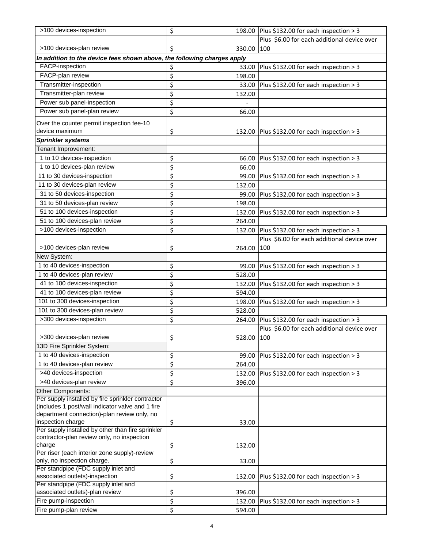| >100 devices-inspection                                                                         | \$                       |            | 198.00 Plus \$132.00 for each inspection > 3 |
|-------------------------------------------------------------------------------------------------|--------------------------|------------|----------------------------------------------|
|                                                                                                 |                          |            | Plus \$6.00 for each additional device over  |
| >100 devices-plan review                                                                        | \$                       | 330.00     | 1100                                         |
| In addition to the device fees shown above, the following charges apply                         |                          |            |                                              |
| FACP-inspection                                                                                 | \$                       | 33.00      | Plus \$132.00 for each inspection > 3        |
| FACP-plan review                                                                                | \$                       | 198.00     |                                              |
| Transmitter-inspection                                                                          | \$                       | 33.00      | Plus \$132.00 for each inspection > 3        |
| Transmitter-plan review                                                                         | \$                       | 132.00     |                                              |
| Power sub panel-inspection                                                                      | \$                       |            |                                              |
| Power sub panel-plan review                                                                     | \$                       | 66.00      |                                              |
|                                                                                                 |                          |            |                                              |
| Over the counter permit inspection fee-10<br>device maximum                                     |                          |            |                                              |
| <b>Sprinkler systems</b>                                                                        | \$                       |            | 132.00 Plus \$132.00 for each inspection > 3 |
| Tenant Improvement:                                                                             |                          |            |                                              |
|                                                                                                 |                          |            |                                              |
| 1 to 10 devices-inspection                                                                      | \$                       | 66.00      | Plus \$132.00 for each inspection > 3        |
| 1 to 10 devices-plan review                                                                     | \$                       | 66.00      |                                              |
| 11 to 30 devices-inspection                                                                     | $\overline{\mathcal{L}}$ | 99.00      | Plus \$132.00 for each inspection > 3        |
| 11 to 30 devices-plan review                                                                    | \$                       | 132.00     |                                              |
| 31 to 50 devices-inspection                                                                     | \$                       | 99.00      | Plus \$132.00 for each inspection > 3        |
| 31 to 50 devices-plan review                                                                    | $\overline{\mathcal{L}}$ | 198.00     |                                              |
| 51 to 100 devices-inspection                                                                    | \$                       | 132.00     | Plus \$132.00 for each inspection > 3        |
| 51 to 100 devices-plan review                                                                   | \$                       | 264.00     |                                              |
| >100 devices-inspection                                                                         | \$                       | 132.00     | Plus \$132.00 for each inspection > 3        |
|                                                                                                 |                          |            | Plus \$6.00 for each additional device over  |
| >100 devices-plan review                                                                        | \$                       | 264.00     | 100                                          |
| New System:                                                                                     |                          |            |                                              |
| 1 to 40 devices-inspection                                                                      | \$                       | 99.00      | Plus \$132.00 for each inspection > 3        |
| 1 to 40 devices-plan review                                                                     | $\overline{\mathcal{L}}$ | 528.00     |                                              |
| 41 to 100 devices-inspection                                                                    | \$                       | 132.00     | Plus \$132.00 for each inspection > 3        |
| 41 to 100 devices-plan review                                                                   | \$                       | 594.00     |                                              |
| 101 to 300 devices-inspection                                                                   | \$                       | 198.00     | Plus \$132.00 for each inspection > 3        |
| 101 to 300 devices-plan review                                                                  | \$                       | 528.00     |                                              |
| >300 devices-inspection                                                                         | \$                       | 264.00     | Plus \$132.00 for each inspection > 3        |
|                                                                                                 |                          |            | Plus \$6.00 for each additional device over  |
| >300 devices-plan review                                                                        | \$                       | 528.00 100 |                                              |
| 13D Fire Sprinkler System:                                                                      |                          |            |                                              |
| 1 to 40 devices-inspection                                                                      | \$                       | 99.00      | Plus \$132.00 for each inspection > 3        |
| 1 to 40 devices-plan review                                                                     | \$                       | 264.00     |                                              |
| >40 devices-inspection                                                                          | $\overline{\mathcal{L}}$ | 132.00     | Plus \$132.00 for each inspection > 3        |
| >40 devices-plan review                                                                         | \$                       | 396.00     |                                              |
| Other Components:                                                                               |                          |            |                                              |
| Per supply installed by fire sprinkler contractor                                               |                          |            |                                              |
| (includes 1 post/wall indicator valve and 1 fire                                                |                          |            |                                              |
| department connection)-plan review only, no                                                     |                          |            |                                              |
| inspection charge                                                                               | \$                       | 33.00      |                                              |
| Per supply installed by other than fire sprinkler<br>contractor-plan review only, no inspection |                          |            |                                              |
| charge                                                                                          | \$                       | 132.00     |                                              |
| Per riser (each interior zone supply)-review                                                    |                          |            |                                              |
| only, no inspection charge.                                                                     | \$                       | 33.00      |                                              |
| Per standpipe (FDC supply inlet and                                                             |                          |            |                                              |
| associated outlets)-inspection                                                                  | \$                       | 132.00     | Plus \$132.00 for each inspection > 3        |
| Per standpipe (FDC supply inlet and                                                             |                          |            |                                              |
| associated outlets)-plan review                                                                 | \$                       | 396.00     |                                              |
| Fire pump-inspection                                                                            | \$                       | 132.00     | Plus \$132.00 for each inspection > 3        |
| Fire pump-plan review                                                                           | \$                       | 594.00     |                                              |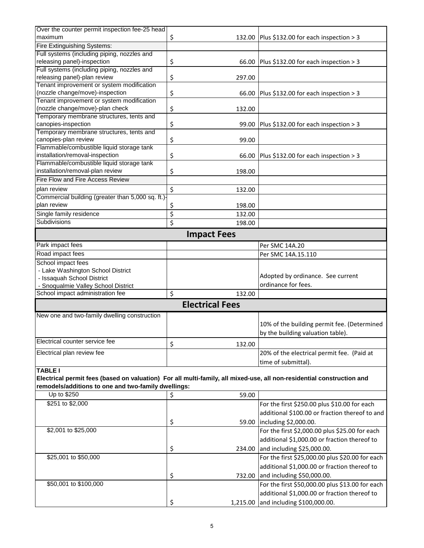| Over the counter permit inspection fee-25 head                                                                        |                        |                                                 |
|-----------------------------------------------------------------------------------------------------------------------|------------------------|-------------------------------------------------|
| maximum                                                                                                               | \$                     | 132.00 Plus \$132.00 for each inspection > 3    |
| Fire Extinguishing Systems:                                                                                           |                        |                                                 |
| Full systems (including piping, nozzles and                                                                           |                        |                                                 |
| releasing panel)-inspection                                                                                           | \$<br>66.00            | Plus \$132.00 for each inspection > 3           |
| Full systems (including piping, nozzles and                                                                           |                        |                                                 |
| releasing panel)-plan review                                                                                          | \$<br>297.00           |                                                 |
| Tenant improvement or system modification                                                                             |                        |                                                 |
| (nozzle change/move)-inspection                                                                                       | \$<br>66.00            | Plus \$132.00 for each inspection > 3           |
| Tenant improvement or system modification                                                                             |                        |                                                 |
| (nozzle change/move)-plan check                                                                                       | \$<br>132.00           |                                                 |
| Temporary membrane structures, tents and                                                                              |                        |                                                 |
| canopies-inspection                                                                                                   | \$<br>99.00            | Plus \$132.00 for each inspection > 3           |
| Temporary membrane structures, tents and                                                                              |                        |                                                 |
| canopies-plan review                                                                                                  | \$<br>99.00            |                                                 |
| Flammable/combustible liquid storage tank                                                                             |                        |                                                 |
| installation/removal-inspection                                                                                       | \$<br>66.00            | Plus \$132.00 for each inspection > 3           |
| Flammable/combustible liquid storage tank                                                                             |                        |                                                 |
| installation/removal-plan review                                                                                      | \$<br>198.00           |                                                 |
| Fire Flow and Fire Access Review                                                                                      |                        |                                                 |
| plan review                                                                                                           | \$<br>132.00           |                                                 |
| Commercial building (greater than 5,000 sq. ft.)-                                                                     |                        |                                                 |
| plan review                                                                                                           | \$<br>198.00           |                                                 |
| Single family residence                                                                                               | \$<br>132.00           |                                                 |
| Subdivisions                                                                                                          | \$<br>198.00           |                                                 |
|                                                                                                                       | <b>Impact Fees</b>     |                                                 |
| Park impact fees                                                                                                      |                        | Per SMC 14A.20                                  |
| Road impact fees                                                                                                      |                        |                                                 |
| School impact fees                                                                                                    |                        | Per SMC 14A.15.110                              |
| - Lake Washington School District                                                                                     |                        |                                                 |
| - Issaquah School District                                                                                            |                        | Adopted by ordinance. See current               |
| - Snoqualmie Valley School District                                                                                   |                        | ordinance for fees.                             |
| School impact administration fee                                                                                      | \$<br>132.00           |                                                 |
|                                                                                                                       | <b>Electrical Fees</b> |                                                 |
|                                                                                                                       |                        |                                                 |
| New one and two-family dwelling construction                                                                          |                        |                                                 |
|                                                                                                                       |                        | 10% of the building permit fee. (Determined     |
|                                                                                                                       |                        | by the building valuation table).               |
| Electrical counter service fee                                                                                        | \$<br>132.00           |                                                 |
| Electrical plan review fee                                                                                            |                        | 20% of the electrical permit fee. (Paid at      |
|                                                                                                                       |                        | time of submittal).                             |
| <b>TABLE I</b>                                                                                                        |                        |                                                 |
| Electrical permit fees (based on valuation) For all multi-family, all mixed-use, all non-residential construction and |                        |                                                 |
| remodels/additions to one and two-family dwellings:                                                                   |                        |                                                 |
| Up to \$250                                                                                                           | \$<br>59.00            |                                                 |
| \$251 to \$2,000                                                                                                      |                        | For the first \$250.00 plus \$10.00 for each    |
|                                                                                                                       |                        | additional \$100.00 or fraction thereof to and  |
|                                                                                                                       | \$<br>59.00            | including \$2,000.00.                           |
| \$2,001 to \$25,000                                                                                                   |                        | For the first \$2,000.00 plus \$25.00 for each  |
|                                                                                                                       |                        |                                                 |
|                                                                                                                       |                        | additional \$1,000.00 or fraction thereof to    |
|                                                                                                                       | \$<br>234.00           | and including \$25,000.00.                      |
| \$25,001 to \$50,000                                                                                                  |                        | For the first \$25,000.00 plus \$20.00 for each |
|                                                                                                                       |                        | additional \$1,000.00 or fraction thereof to    |
|                                                                                                                       | \$<br>732.00           | and including \$50,000.00.                      |
| \$50,001 to \$100,000                                                                                                 |                        | For the first \$50,000.00 plus \$13.00 for each |
|                                                                                                                       |                        | additional \$1,000.00 or fraction thereof to    |
|                                                                                                                       | \$                     | 1,215.00 and including \$100,000.00.            |
|                                                                                                                       |                        |                                                 |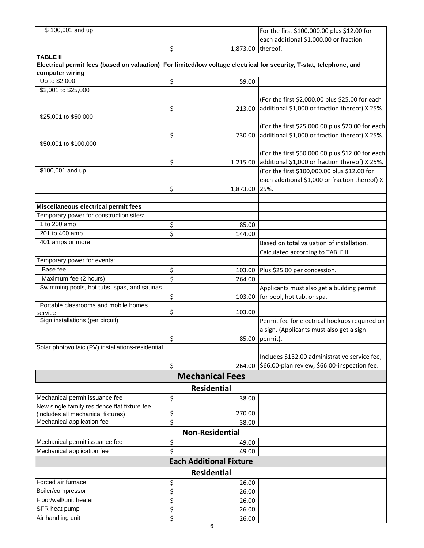| \$100,001 and up                                                                                                                       |                                | For the first \$100,000.00 plus \$12.00 for      |
|----------------------------------------------------------------------------------------------------------------------------------------|--------------------------------|--------------------------------------------------|
|                                                                                                                                        |                                | each additional \$1,000.00 or fraction           |
|                                                                                                                                        | \$<br>1,873.00                 | thereof.                                         |
| <b>TABLE II</b>                                                                                                                        |                                |                                                  |
| Electrical permit fees (based on valuation) For limited/low voltage electrical for security, T-stat, telephone, and<br>computer wiring |                                |                                                  |
| Up to \$2,000                                                                                                                          | \$<br>59.00                    |                                                  |
| \$2,001 to \$25,000                                                                                                                    |                                |                                                  |
|                                                                                                                                        |                                | (For the first \$2,000.00 plus \$25.00 for each  |
|                                                                                                                                        | \$<br>213.00                   | additional \$1,000 or fraction thereof) X 25%.   |
| \$25,001 to \$50,000                                                                                                                   |                                |                                                  |
|                                                                                                                                        |                                | (For the first \$25,000.00 plus \$20.00 for each |
|                                                                                                                                        | \$<br>730.00                   | additional \$1,000 or fraction thereof) X 25%.   |
| \$50,001 to \$100,000                                                                                                                  |                                |                                                  |
|                                                                                                                                        |                                | (For the first \$50,000.00 plus \$12.00 for each |
|                                                                                                                                        | \$<br>1,215.00                 | additional \$1,000 or fraction thereof) X 25%.   |
| \$100,001 and up                                                                                                                       |                                | (For the first \$100,000.00 plus \$12.00 for     |
|                                                                                                                                        |                                | each additional \$1,000 or fraction thereof) X   |
|                                                                                                                                        | \$<br>1,873.00                 | 25%.                                             |
|                                                                                                                                        |                                |                                                  |
| Miscellaneous electrical permit fees                                                                                                   |                                |                                                  |
| Temporary power for construction sites:                                                                                                |                                |                                                  |
| 1 to 200 amp                                                                                                                           | \$<br>85.00                    |                                                  |
| 201 to 400 amp                                                                                                                         | \$                             |                                                  |
| 401 amps or more                                                                                                                       | 144.00                         |                                                  |
|                                                                                                                                        |                                | Based on total valuation of installation.        |
|                                                                                                                                        |                                | Calculated according to TABLE II.                |
| Temporary power for events:                                                                                                            |                                |                                                  |
| Base fee                                                                                                                               | \$<br>103.00                   | Plus \$25.00 per concession.                     |
| Maximum fee (2 hours)                                                                                                                  | \$<br>264.00                   |                                                  |
| Swimming pools, hot tubs, spas, and saunas                                                                                             |                                | Applicants must also get a building permit       |
|                                                                                                                                        | \$<br>103.00                   | for pool, hot tub, or spa.                       |
| Portable classrooms and mobile homes                                                                                                   | \$<br>103.00                   |                                                  |
| service<br>Sign installations (per circuit)                                                                                            |                                | Permit fee for electrical hookups required on    |
|                                                                                                                                        |                                | a sign. (Applicants must also get a sign         |
|                                                                                                                                        | \$                             | 85.00 permit).                                   |
| Solar photovoltaic (PV) installations-residential                                                                                      |                                |                                                  |
|                                                                                                                                        |                                | Includes \$132.00 administrative service fee,    |
|                                                                                                                                        | \$<br>264.00                   | \$66.00-plan review, \$66.00-inspection fee.     |
|                                                                                                                                        |                                |                                                  |
|                                                                                                                                        | <b>Mechanical Fees</b>         |                                                  |
|                                                                                                                                        | <b>Residential</b>             |                                                  |
| Mechanical permit issuance fee                                                                                                         | \$<br>38.00                    |                                                  |
| New single family residence flat fixture fee                                                                                           |                                |                                                  |
| (includes all mechanical fixtures)                                                                                                     | \$<br>270.00                   |                                                  |
| Mechanical application fee                                                                                                             | \$<br>38.00                    |                                                  |
|                                                                                                                                        | <b>Non-Residential</b>         |                                                  |
| Mechanical permit issuance fee                                                                                                         | \$<br>49.00                    |                                                  |
| Mechanical application fee                                                                                                             | \$<br>49.00                    |                                                  |
|                                                                                                                                        | <b>Each Additional Fixture</b> |                                                  |
|                                                                                                                                        | <b>Residential</b>             |                                                  |
| Forced air furnace                                                                                                                     | \$<br>26.00                    |                                                  |
| Boiler/compressor                                                                                                                      | \$<br>26.00                    |                                                  |
| Floor/wall/unit heater                                                                                                                 | \$<br>26.00                    |                                                  |
| SFR heat pump                                                                                                                          | \$<br>26.00                    |                                                  |
| Air handling unit                                                                                                                      | \$<br>26.00                    |                                                  |
|                                                                                                                                        |                                |                                                  |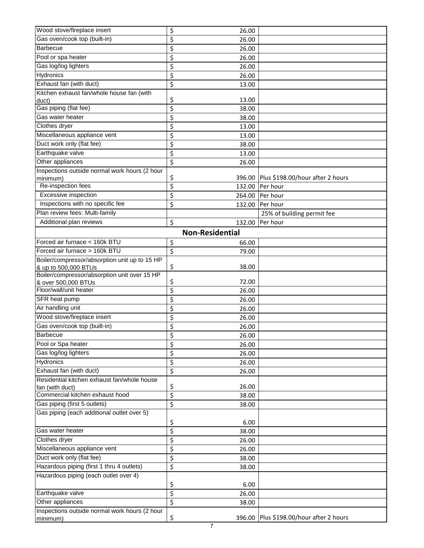| Wood stove/fireplace insert                   | \$                      | 26.00                  |                                         |
|-----------------------------------------------|-------------------------|------------------------|-----------------------------------------|
| Gas oven/cook top (built-in)                  | \$                      | 26.00                  |                                         |
| Barbecue                                      | \$                      | 26.00                  |                                         |
| Pool or spa heater                            | \$                      | 26.00                  |                                         |
| Gas log/log lighters                          | \$                      | 26.00                  |                                         |
| <b>Hydronics</b>                              | \$                      | 26.00                  |                                         |
| Exhaust fan (with duct)                       | \$                      | 13.00                  |                                         |
| Kitchen exhaust fan/whole house fan (with     |                         |                        |                                         |
| duct)                                         | \$                      | 13.00                  |                                         |
| Gas piping (flat fee)                         | \$                      | 38.00                  |                                         |
| Gas water heater                              | \$                      | 38.00                  |                                         |
| Clothes dryer                                 | \$                      | 13.00                  |                                         |
| Miscellaneous appliance vent                  | \$                      | 13.00                  |                                         |
| Duct work only (flat fee)                     | \$                      | 38.00                  |                                         |
| Earthquake valve                              | \$                      | 13.00                  |                                         |
| Other appliances                              | \$                      | 26.00                  |                                         |
| Inspections outside normal work hours (2 hour |                         |                        |                                         |
| minimum)                                      | \$                      | 396.00                 | Plus \$198.00/hour after 2 hours        |
| Re-inspection fees                            | \$                      | 132.00                 | Per hour                                |
| Excessive inspection                          | \$                      | 264.00                 | Per hour                                |
| Inspections with no specific fee              | \$                      | 132.00                 | Per hour                                |
| Plan review fees: Multi-family                |                         |                        | 25% of building permit fee              |
| Additional plan reviews                       | \$                      | 132.00                 | Per hour                                |
|                                               |                         | <b>Non-Residential</b> |                                         |
| Forced air furnace < 160k BTU                 | \$                      | 66.00                  |                                         |
| Forced air furnace > 160k BTU                 | \$                      | 79.00                  |                                         |
| Boiler/compressor/absorption unit up to 15 HP |                         |                        |                                         |
| & up to 500,000 BTUs                          | \$                      | 38.00                  |                                         |
| Boiler/compressor/absorption unit over 15 HP  |                         | 72.00                  |                                         |
| & over 500,000 BTUs<br>Floor/wall/unit heater | \$<br>\$                | 26.00                  |                                         |
| SFR heat pump                                 | \$                      | 26.00                  |                                         |
| Air handling unit                             | \$                      | 26.00                  |                                         |
| Wood stove/fireplace insert                   | \$                      | 26.00                  |                                         |
| Gas oven/cook top (built-in)                  | \$                      | 26.00                  |                                         |
| Barbecue                                      | \$                      | 26.00                  |                                         |
| Pool or Spa heater                            | $\overline{\mathsf{S}}$ | 26.00                  |                                         |
| Gas log/log lighters                          | \$                      | 26.00                  |                                         |
| Hydronics                                     | \$                      | 26.00                  |                                         |
| Exhaust fan (with duct)                       | \$                      | 26.00                  |                                         |
| Residential kitchen exhaust fan/whole house   |                         |                        |                                         |
| fan (with duct)                               | \$                      | 26.00                  |                                         |
| Commercial kitchen exhaust hood               | \$                      | 38.00                  |                                         |
| Gas piping (first 5 outlets)                  | \$                      | 38.00                  |                                         |
| Gas piping (each additional outlet over 5)    |                         |                        |                                         |
|                                               | \$                      | 6.00                   |                                         |
| Gas water heater                              | \$                      | 38.00                  |                                         |
| Clothes dryer                                 | \$                      | 26.00                  |                                         |
| Miscellaneous appliance vent                  | \$                      | 26.00                  |                                         |
| Duct work only (flat fee)                     | \$                      | 38.00                  |                                         |
| Hazardous piping (first 1 thru 4 outlets)     | \$                      | 38.00                  |                                         |
| Hazardous piping (each outlet over 4)         |                         |                        |                                         |
|                                               | \$                      | 6.00                   |                                         |
| Earthquake valve                              | \$                      | 26.00                  |                                         |
| Other appliances                              | \$                      | 38.00                  |                                         |
| Inspections outside normal work hours (2 hour |                         |                        |                                         |
| minimum)                                      | \$                      |                        | 396.00 Plus \$198.00/hour after 2 hours |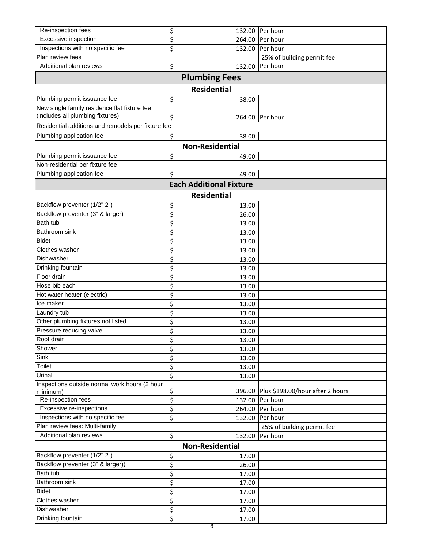| Re-inspection fees                                                               | \$                      | 132.00                         | Per hour                         |
|----------------------------------------------------------------------------------|-------------------------|--------------------------------|----------------------------------|
| Excessive inspection                                                             | \$                      | 264.00                         | Per hour                         |
| Inspections with no specific fee                                                 | \$                      | 132.00                         | Per hour                         |
| Plan review fees                                                                 |                         |                                | 25% of building permit fee       |
| Additional plan reviews                                                          | \$                      | 132.00                         | Per hour                         |
|                                                                                  |                         | <b>Plumbing Fees</b>           |                                  |
|                                                                                  |                         |                                |                                  |
|                                                                                  |                         | <b>Residential</b>             |                                  |
| Plumbing permit issuance fee                                                     | \$                      | 38.00                          |                                  |
| New single family residence flat fixture fee<br>(includes all plumbing fixtures) |                         |                                |                                  |
|                                                                                  | \$                      | 264.00                         | Per hour                         |
| Residential additions and remodels per fixture fee                               |                         |                                |                                  |
| Plumbing application fee                                                         | \$                      | 38.00                          |                                  |
|                                                                                  |                         | <b>Non-Residential</b>         |                                  |
| Plumbing permit issuance fee                                                     | \$                      | 49.00                          |                                  |
| Non-residential per fixture fee                                                  |                         |                                |                                  |
| Plumbing application fee                                                         | \$                      | 49.00                          |                                  |
|                                                                                  |                         | <b>Each Additional Fixture</b> |                                  |
|                                                                                  |                         | <b>Residential</b>             |                                  |
| Backflow preventer (1/2" 2")                                                     | \$                      | 13.00                          |                                  |
| Backflow preventer (3" & larger)                                                 | \$                      | 26.00                          |                                  |
| <b>Bath tub</b>                                                                  | \$                      | 13.00                          |                                  |
| Bathroom sink                                                                    | \$                      | 13.00                          |                                  |
| <b>Bidet</b>                                                                     | \$                      | 13.00                          |                                  |
| Clothes washer                                                                   | \$                      | 13.00                          |                                  |
| Dishwasher                                                                       | \$                      | 13.00                          |                                  |
| Drinking fountain                                                                | \$                      | 13.00                          |                                  |
| Floor drain                                                                      | \$                      | 13.00                          |                                  |
| Hose bib each                                                                    | \$                      | 13.00                          |                                  |
| Hot water heater (electric)                                                      | \$                      | 13.00                          |                                  |
| Ice maker                                                                        | \$                      | 13.00                          |                                  |
| Laundry tub                                                                      | \$                      | 13.00                          |                                  |
| Other plumbing fixtures not listed                                               | \$                      | 13.00                          |                                  |
| Pressure reducing valve                                                          | \$                      | 13.00                          |                                  |
| Roof drain                                                                       | \$                      | 13.00                          |                                  |
| Shower                                                                           | $\overline{\mathsf{S}}$ | 13.00                          |                                  |
| Sink                                                                             | \$                      | 13.00                          |                                  |
| Toilet                                                                           | \$                      | 13.00                          |                                  |
| Urinal                                                                           | \$                      | 13.00                          |                                  |
| Inspections outside normal work hours (2 hour                                    | \$                      | 396.00                         | Plus \$198.00/hour after 2 hours |
| minimum)<br>Re-inspection fees                                                   | \$                      | 132.00                         | Per hour                         |
| Excessive re-inspections                                                         | \$                      | 264.00                         | Per hour                         |
| Inspections with no specific fee                                                 | \$                      | 132.00                         | Per hour                         |
| Plan review fees: Multi-family                                                   |                         |                                | 25% of building permit fee       |
| Additional plan reviews                                                          | \$                      | 132.00                         | Per hour                         |
|                                                                                  |                         | <b>Non-Residential</b>         |                                  |
| Backflow preventer (1/2" 2")                                                     | \$                      | 17.00                          |                                  |
| Backflow preventer (3" & larger))                                                | \$                      | 26.00                          |                                  |
| Bath tub                                                                         | \$                      | 17.00                          |                                  |
| Bathroom sink                                                                    | \$                      | 17.00                          |                                  |
| <b>Bidet</b>                                                                     | \$                      | 17.00                          |                                  |
| Clothes washer                                                                   | \$                      | 17.00                          |                                  |
| Dishwasher                                                                       | \$                      | 17.00                          |                                  |
| Drinking fountain                                                                | \$                      | 17.00                          |                                  |
|                                                                                  |                         | 8                              |                                  |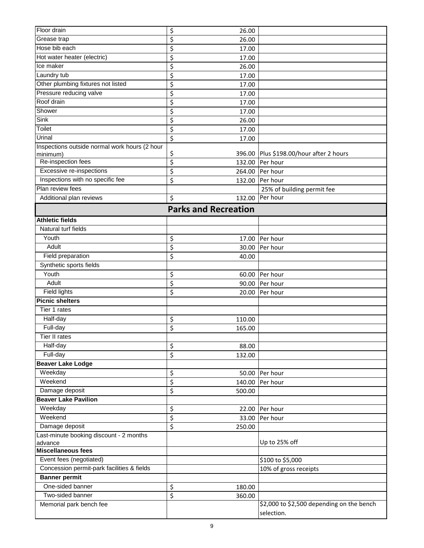| Floor drain                                   | \$<br>26.00                 |                                           |
|-----------------------------------------------|-----------------------------|-------------------------------------------|
| Grease trap                                   | \$<br>26.00                 |                                           |
| Hose bib each                                 | \$<br>17.00                 |                                           |
| Hot water heater (electric)                   | \$<br>17.00                 |                                           |
| Ice maker                                     | \$<br>26.00                 |                                           |
| Laundry tub                                   | \$<br>17.00                 |                                           |
| Other plumbing fixtures not listed            | \$<br>17.00                 |                                           |
| Pressure reducing valve                       | \$<br>17.00                 |                                           |
| Roof drain                                    | \$<br>17.00                 |                                           |
| Shower                                        | \$<br>17.00                 |                                           |
| Sink                                          | \$<br>26.00                 |                                           |
| <b>Toilet</b>                                 | \$<br>17.00                 |                                           |
| Urinal                                        | \$                          |                                           |
| Inspections outside normal work hours (2 hour | 17.00                       |                                           |
| minimum)                                      | \$<br>396.00                | Plus \$198.00/hour after 2 hours          |
| Re-inspection fees                            | \$<br>132.00                | Per hour                                  |
| Excessive re-inspections                      | \$<br>264.00                | Per hour                                  |
| Inspections with no specific fee              | \$<br>132.00                | Per hour                                  |
| Plan review fees                              |                             | 25% of building permit fee                |
| Additional plan reviews                       | \$<br>132.00                | Per hour                                  |
|                                               |                             |                                           |
|                                               | <b>Parks and Recreation</b> |                                           |
| <b>Athletic fields</b>                        |                             |                                           |
| Natural turf fields                           |                             |                                           |
| Youth                                         | \$<br>17.00                 | Per hour                                  |
| Adult                                         | \$<br>30.00                 | Per hour                                  |
| Field preparation                             | \$<br>40.00                 |                                           |
| Synthetic sports fields                       |                             |                                           |
| Youth                                         | \$<br>60.00                 | Per hour                                  |
| Adult                                         | \$<br>90.00                 | Per hour                                  |
| <b>Field lights</b>                           | \$<br>20.00                 | Per hour                                  |
| <b>Picnic shelters</b>                        |                             |                                           |
| Tier 1 rates                                  |                             |                                           |
| Half-day                                      | \$<br>110.00                |                                           |
| Full-day                                      | \$<br>165.00                |                                           |
| l ier II rates                                |                             |                                           |
| Half-day                                      | 88.00                       |                                           |
| Full-day                                      | \$                          |                                           |
| <b>Beaver Lake Lodge</b>                      | \$<br>132.00                |                                           |
| Weekday                                       |                             |                                           |
|                                               | \$<br>50.00                 | Per hour                                  |
| Weekend                                       | \$<br>140.00                | Per hour                                  |
| Damage deposit                                | \$<br>500.00                |                                           |
| <b>Beaver Lake Pavilion</b>                   |                             |                                           |
| Weekday                                       | \$<br>22.00                 | Per hour                                  |
| Weekend                                       | \$<br>33.00                 | Per hour                                  |
| Damage deposit                                | \$<br>250.00                |                                           |
| Last-minute booking discount - 2 months       |                             |                                           |
| advance<br><b>Miscellaneous fees</b>          |                             | Up to 25% off                             |
|                                               |                             |                                           |
| Event fees (negotiated)                       |                             | \$100 to \$5,000                          |
| Concession permit-park facilities & fields    |                             | 10% of gross receipts                     |
| <b>Banner</b> permit<br>One-sided banner      |                             |                                           |
|                                               | \$<br>180.00                |                                           |
| Two-sided banner                              | \$<br>360.00                |                                           |
| Memorial park bench fee                       |                             | \$2,000 to \$2,500 depending on the bench |
|                                               |                             | selection.                                |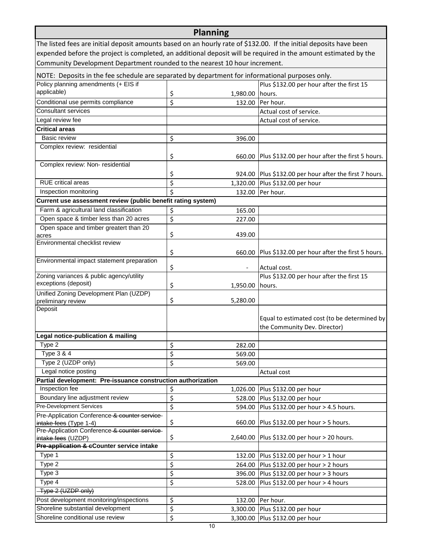| <b>Planning</b>                                                                                                    |                  |                              |                                                        |  |
|--------------------------------------------------------------------------------------------------------------------|------------------|------------------------------|--------------------------------------------------------|--|
| The listed fees are initial deposit amounts based on an hourly rate of \$132.00. If the initial deposits have been |                  |                              |                                                        |  |
| expended before the project is completed, an additional deposit will be required in the amount estimated by the    |                  |                              |                                                        |  |
| Community Development Department rounded to the nearest 10 hour increment.                                         |                  |                              |                                                        |  |
| NOTE: Deposits in the fee schedule are separated by department for informational purposes only.                    |                  |                              |                                                        |  |
| Policy planning amendments (+ EIS if                                                                               |                  |                              | Plus \$132.00 per hour after the first 15              |  |
| applicable)                                                                                                        | \$               | 1,980.00                     | hours.                                                 |  |
| Conditional use permits compliance                                                                                 | \$               | 132.00                       | Per hour.                                              |  |
| <b>Consultant services</b>                                                                                         |                  |                              | Actual cost of service.                                |  |
| Legal review fee                                                                                                   |                  |                              | Actual cost of service.                                |  |
| <b>Critical areas</b>                                                                                              |                  |                              |                                                        |  |
| <b>Basic review</b>                                                                                                | \$               | 396.00                       |                                                        |  |
| Complex review: residential                                                                                        |                  |                              |                                                        |  |
|                                                                                                                    | \$               |                              | 660.00 Plus \$132.00 per hour after the first 5 hours. |  |
| Complex review: Non- residential                                                                                   |                  |                              |                                                        |  |
|                                                                                                                    | \$               |                              | 924.00 Plus \$132.00 per hour after the first 7 hours. |  |
| <b>RUE</b> critical areas                                                                                          | \$               | 1,320.00                     | Plus \$132.00 per hour                                 |  |
| Inspection monitoring                                                                                              | \$               | 132.00                       | Per hour.                                              |  |
| Current use assessment review (public benefit rating system)                                                       |                  |                              |                                                        |  |
| Farm & agricultural land classification                                                                            | \$               | 165.00                       |                                                        |  |
| Open space & timber less than 20 acres                                                                             | $\overline{\xi}$ | 227.00                       |                                                        |  |
| Open space and timber greatert than 20                                                                             |                  |                              |                                                        |  |
| acres                                                                                                              | \$               | 439.00                       |                                                        |  |
| Environmental checklist review                                                                                     |                  |                              |                                                        |  |
|                                                                                                                    | \$               |                              | 660.00 Plus \$132.00 per hour after the first 5 hours. |  |
| Environmental impact statement preparation                                                                         |                  |                              |                                                        |  |
|                                                                                                                    | \$               | $\qquad \qquad \blacksquare$ | Actual cost.                                           |  |
| Zoning variances & public agency/utility<br>exceptions (deposit)                                                   |                  |                              | Plus \$132.00 per hour after the first 15              |  |
|                                                                                                                    | \$               | 1,950.00                     | hours.                                                 |  |
| Unified Zoning Development Plan (UZDP)                                                                             | \$               | 5,280.00                     |                                                        |  |
| preliminary review<br>Deposit                                                                                      |                  |                              |                                                        |  |
|                                                                                                                    |                  |                              | Equal to estimated cost (to be determined by           |  |
|                                                                                                                    |                  |                              | the Community Dev. Director)                           |  |
| Legal notice-publication & mailing                                                                                 |                  |                              |                                                        |  |
| Type 2                                                                                                             | \$               | 282.00                       |                                                        |  |
| Type 3 & 4                                                                                                         | \$               | 569.00                       |                                                        |  |
| Type 2 (UZDP only)                                                                                                 | \$               | 569.00                       |                                                        |  |
| Legal notice posting                                                                                               |                  |                              | Actual cost                                            |  |
| Partial development: Pre-issuance construction authorization                                                       |                  |                              |                                                        |  |
| Inspection fee                                                                                                     | \$               | 1,026.00                     | Plus \$132.00 per hour                                 |  |
| Boundary line adjustment review                                                                                    | \$               | 528.00                       | Plus \$132.00 per hour                                 |  |
| <b>Pre-Development Services</b>                                                                                    | \$               | 594.00                       | Plus \$132.00 per hour > 4.5 hours.                    |  |
| Pre-Application Conference & counter service                                                                       |                  |                              |                                                        |  |
| intake fees (Type 1-4)                                                                                             | \$               |                              | 660.00 Plus \$132.00 per hour > 5 hours.               |  |
| Pre-Application Conference & counter service-                                                                      |                  |                              |                                                        |  |
| intake fees (UZDP)                                                                                                 | \$               |                              | 2,640.00 Plus \$132.00 per hour > 20 hours.            |  |
| Pre-application & cCounter service intake                                                                          |                  |                              |                                                        |  |
| Type 1                                                                                                             | \$               |                              | 132.00 Plus \$132.00 per hour > 1 hour                 |  |
| Type 2                                                                                                             | \$               |                              | 264.00 Plus \$132.00 per hour > 2 hours                |  |
| Type 3                                                                                                             | \$               | 396.00                       | Plus \$132.00 per hour > 3 hours                       |  |
| Type 4                                                                                                             | \$               | 528.00                       | Plus \$132.00 per hour > 4 hours                       |  |
| Type 2 (UZDP only)                                                                                                 |                  |                              |                                                        |  |
| Post development monitoring/inspections                                                                            | \$               |                              | 132.00 Per hour.                                       |  |
| Shoreline substantial development                                                                                  | \$               | 3,300.00                     | Plus \$132.00 per hour                                 |  |
| Shoreline conditional use review                                                                                   | \$               |                              | 3,300.00 Plus \$132.00 per hour                        |  |
|                                                                                                                    |                  | 10                           |                                                        |  |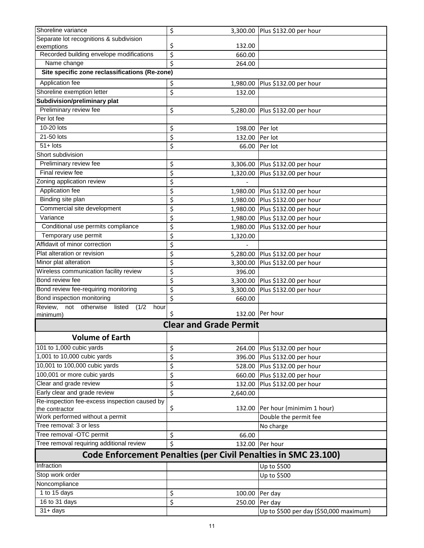| Shoreline variance                                                    | \$                            | 3,300.00 Plus \$132.00 per hour        |
|-----------------------------------------------------------------------|-------------------------------|----------------------------------------|
| Separate lot recognitions & subdivision                               |                               |                                        |
| exemptions                                                            | \$<br>132.00                  |                                        |
| Recorded building envelope modifications                              | \$<br>660.00                  |                                        |
| Name change                                                           | \$<br>264.00                  |                                        |
| Site specific zone reclassifications (Re-zone)                        |                               |                                        |
| Application fee                                                       | \$<br>1,980.00                | Plus \$132.00 per hour                 |
| Shoreline exemption letter                                            | \$<br>132.00                  |                                        |
| <b>Subdivision/preliminary plat</b>                                   |                               |                                        |
| Preliminary review fee                                                | \$                            | 5,280.00 Plus \$132.00 per hour        |
| Per lot fee                                                           |                               |                                        |
| 10-20 lots                                                            | \$<br>198.00                  | Per lot                                |
| 21-50 lots                                                            | \$<br>132.00 Per lot          |                                        |
| $51 +$ lots                                                           | \$<br>66.00                   | Per lot                                |
| Short subdivision                                                     |                               |                                        |
| Preliminary review fee                                                | \$                            | 3,306.00 Plus \$132.00 per hour        |
| Final review fee                                                      | \$                            | 1,320.00 Plus \$132.00 per hour        |
| Zoning application review                                             | \$                            |                                        |
| Application fee                                                       | \$                            | 1,980.00 Plus \$132.00 per hour        |
| Binding site plan                                                     | \$                            | 1,980.00 Plus \$132.00 per hour        |
| Commercial site development                                           | \$                            | 1,980.00 Plus \$132.00 per hour        |
| Variance                                                              | \$<br>1,980.00                | Plus \$132.00 per hour                 |
| Conditional use permits compliance                                    | \$<br>1,980.00                | Plus \$132.00 per hour                 |
| Temporary use permit                                                  | \$<br>1,320.00                |                                        |
| Affidavit of minor correction                                         | \$                            |                                        |
| Plat alteration or revision                                           | \$                            | 5,280.00 Plus \$132.00 per hour        |
| Minor plat alteration                                                 | \$<br>3,300.00                | Plus \$132.00 per hour                 |
| Wireless communication facility review                                | \$<br>396.00                  |                                        |
| Bond review fee                                                       | \$                            | 3,300.00 Plus \$132.00 per hour        |
| Bond review fee-requiring monitoring                                  | \$<br>3,300.00                | Plus \$132.00 per hour                 |
| Bond inspection monitoring                                            | \$<br>660.00                  |                                        |
| Review, not otherwise listed<br>$(1/2$ hour                           |                               |                                        |
| minimum)                                                              | \$                            | 132.00 Per hour                        |
|                                                                       | <b>Clear and Grade Permit</b> |                                        |
| <b>Volume of Earth</b>                                                |                               |                                        |
| 101 to 1,000 cubic yards                                              | \$<br>264.00                  | Plus \$132.00 per hour                 |
| 1,001 to 10,000 cubic yards                                           | \$<br>396.00                  | Plus \$132.00 per hour                 |
| 10,001 to 100,000 cubic yards                                         | \$<br>528.00                  | Plus \$132.00 per hour                 |
| 100,001 or more cubic yards                                           | \$<br>660.00                  | Plus \$132.00 per hour                 |
| Clear and grade review                                                | \$<br>132.00                  | Plus \$132.00 per hour                 |
| Early clear and grade review                                          | \$<br>2,640.00                |                                        |
| Re-inspection fee-excess inspection caused by                         |                               |                                        |
| the contractor                                                        | \$<br>132.00                  | Per hour (minimim 1 hour)              |
| Work performed without a permit                                       |                               | Double the permit fee                  |
| Tree removal: 3 or less                                               |                               | No charge                              |
| Tree removal -OTC permit                                              | \$<br>66.00                   |                                        |
| Tree removal requiring additional review                              | \$<br>132.00                  | Per hour                               |
| <b>Code Enforcement Penalties (per Civil Penalties in SMC 23.100)</b> |                               |                                        |
| Infraction                                                            |                               | Up to \$500                            |
| Stop work order                                                       |                               | Up to \$500                            |
| Noncompliance                                                         |                               |                                        |
| 1 to 15 days                                                          | \$<br>100.00                  | Per day                                |
| 16 to 31 days                                                         | \$<br>250.00                  | Per day                                |
| $31 + days$                                                           |                               | Up to \$500 per day (\$50,000 maximum) |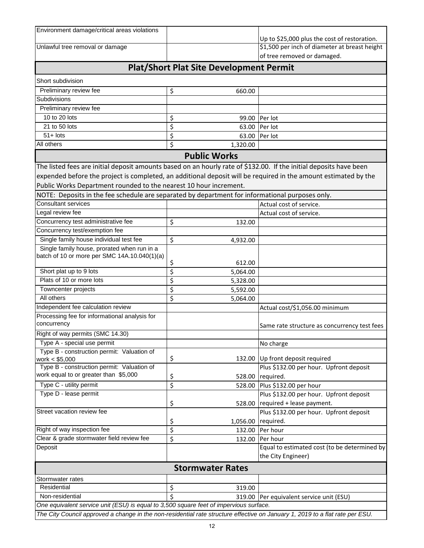| Environment damage/critical areas violations                                                                                  |    |                                                | Up to \$25,000 plus the cost of restoration.  |
|-------------------------------------------------------------------------------------------------------------------------------|----|------------------------------------------------|-----------------------------------------------|
| Unlawful tree removal or damage                                                                                               |    |                                                | \$1,500 per inch of diameter at breast height |
|                                                                                                                               |    |                                                | of tree removed or damaged.                   |
|                                                                                                                               |    | <b>Plat/Short Plat Site Development Permit</b> |                                               |
| Short subdivision                                                                                                             |    |                                                |                                               |
| Preliminary review fee                                                                                                        | \$ | 660.00                                         |                                               |
| Subdivisions                                                                                                                  |    |                                                |                                               |
| Preliminary review fee                                                                                                        |    |                                                |                                               |
| 10 to 20 lots                                                                                                                 | \$ | 99.00                                          | Per lot                                       |
| 21 to 50 lots                                                                                                                 | \$ | 63.00                                          | Per lot                                       |
| $51 +$ lots                                                                                                                   | \$ | 63.00                                          | Per lot                                       |
| All others                                                                                                                    | \$ | 1,320.00                                       |                                               |
|                                                                                                                               |    | <b>Public Works</b>                            |                                               |
| The listed fees are initial deposit amounts based on an hourly rate of \$132.00. If the initial deposits have been            |    |                                                |                                               |
| expended before the project is completed, an additional deposit will be required in the amount estimated by the               |    |                                                |                                               |
| Public Works Department rounded to the nearest 10 hour increment.                                                             |    |                                                |                                               |
| NOTE: Deposits in the fee schedule are separated by department for informational purposes only.                               |    |                                                |                                               |
| <b>Consultant services</b>                                                                                                    |    |                                                | Actual cost of service.                       |
| Legal review fee                                                                                                              |    |                                                | Actual cost of service.                       |
| Concurrency test administrative fee                                                                                           | \$ | 132.00                                         |                                               |
| Concurrency test/exemption fee                                                                                                |    |                                                |                                               |
| Single family house individual test fee                                                                                       | \$ | 4,932.00                                       |                                               |
| Single family house, prorated when run in a                                                                                   |    |                                                |                                               |
| batch of 10 or more per SMC 14A.10.040(1)(a)                                                                                  |    |                                                |                                               |
|                                                                                                                               | \$ | 612.00                                         |                                               |
| Short plat up to 9 lots                                                                                                       | \$ | 5,064.00                                       |                                               |
| Plats of 10 or more lots                                                                                                      | \$ | 5,328.00                                       |                                               |
| Towncenter projects                                                                                                           | \$ | 5,592.00                                       |                                               |
| All others                                                                                                                    | \$ | 5,064.00                                       |                                               |
| Independent fee calculation review                                                                                            |    |                                                | Actual cost/\$1,056.00 minimum                |
| Processing fee for informational analysis for                                                                                 |    |                                                |                                               |
| concurrency                                                                                                                   |    |                                                | Same rate structure as concurrency test fees  |
| Right of way permits (SMC 14.30)                                                                                              |    |                                                |                                               |
| Type A - special use permit                                                                                                   |    |                                                | No charge                                     |
| Type B - construction permit: Valuation of<br>work $< $5,000$                                                                 | \$ | 132.00                                         | Up front deposit required                     |
| Type B - construction permit: Valuation of                                                                                    |    |                                                | Plus \$132.00 per hour. Upfront deposit       |
| work equal to or greater than \$5,000                                                                                         | \$ | 528.00                                         | required.                                     |
| Type C - utility permit                                                                                                       | \$ | 528.00                                         | Plus \$132.00 per hour                        |
| Type D - lease permit                                                                                                         |    |                                                | Plus \$132.00 per hour. Upfront deposit       |
|                                                                                                                               | \$ | 528.00                                         | required + lease payment.                     |
| Street vacation review fee                                                                                                    |    |                                                | Plus \$132.00 per hour. Upfront deposit       |
|                                                                                                                               | \$ | 1,056.00                                       | required.                                     |
| Right of way inspection fee                                                                                                   | \$ | 132.00                                         | Per hour                                      |
| Clear & grade stormwater field review fee                                                                                     | \$ | 132.00                                         | Per hour                                      |
| Deposit                                                                                                                       |    |                                                | Equal to estimated cost (to be determined by  |
|                                                                                                                               |    |                                                | the City Engineer)                            |
|                                                                                                                               |    | <b>Stormwater Rates</b>                        |                                               |
| Stormwater rates                                                                                                              |    |                                                |                                               |
| Residential                                                                                                                   | \$ | 319.00                                         |                                               |
| Non-residential                                                                                                               | Ś  | 319.00                                         | Per equivalent service unit (ESU)             |
| One equivalent service unit (ESU) is equal to 3,500 square feet of impervious surface.                                        |    |                                                |                                               |
| The City Council approved a change in the non-residential rate structure effective on January 1, 2019 to a flat rate per ESU. |    |                                                |                                               |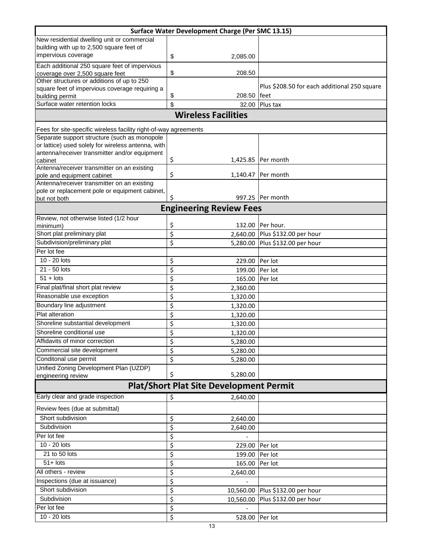| Surface Water Development Charge (Per SMC 13.15)                          |                                |                                              |  |  |
|---------------------------------------------------------------------------|--------------------------------|----------------------------------------------|--|--|
| New residential dwelling unit or commercial                               |                                |                                              |  |  |
| building with up to 2,500 square feet of                                  |                                |                                              |  |  |
| impervious coverage                                                       | \$<br>2,085.00                 |                                              |  |  |
| Each additional 250 square feet of impervious                             |                                |                                              |  |  |
| coverage over 2,500 square feet                                           | \$<br>208.50                   |                                              |  |  |
| Other structures or additions of up to 250                                |                                |                                              |  |  |
| square feet of impervious coverage requiring a                            |                                | Plus \$208.50 for each additional 250 square |  |  |
| building permit                                                           | \$<br>208.50                   | <b>feet</b>                                  |  |  |
| Surface water retention locks                                             | \$<br>32.00                    | Plus tax                                     |  |  |
| <b>Wireless Facilities</b>                                                |                                |                                              |  |  |
| Fees for site-specific wireless facility right-of-way agreements          |                                |                                              |  |  |
| Separate support structure (such as monopole                              |                                |                                              |  |  |
| or lattice) used solely for wireless antenna, with                        |                                |                                              |  |  |
| antenna/receiver transmitter and/or equipment                             |                                |                                              |  |  |
| cabinet                                                                   | Ş                              | 1,425.85 Per month                           |  |  |
| Antenna/receiver transmitter on an existing                               | \$<br>1,140.47                 | Per month                                    |  |  |
| pole and equipment cabinet<br>Antenna/receiver transmitter on an existing |                                |                                              |  |  |
| pole or replacement pole or equipment cabinet,                            |                                |                                              |  |  |
| but not both                                                              | \$<br>997.25                   | Per month                                    |  |  |
|                                                                           | <b>Engineering Review Fees</b> |                                              |  |  |
| Review, not otherwise listed (1/2 hour                                    |                                |                                              |  |  |
| minimum)                                                                  | \$<br>132.00                   | Per hour.                                    |  |  |
| Short plat preliminary plat                                               | \$<br>2,640.00                 | Plus \$132.00 per hour                       |  |  |
| Subdivision/preliminary plat                                              | \$<br>5,280.00                 | Plus \$132.00 per hour                       |  |  |
| Per lot fee                                                               |                                |                                              |  |  |
| 10 - 20 lots                                                              | \$<br>229.00                   | Per lot                                      |  |  |
| 21 - 50 lots                                                              | \$<br>199.00                   | Per lot                                      |  |  |
| $51 +$ lots                                                               | \$<br>165.00                   | Per lot                                      |  |  |
| Final plat/final short plat review                                        | \$<br>2,360.00                 |                                              |  |  |
| Reasonable use exception                                                  | \$<br>1,320.00                 |                                              |  |  |
| Boundary line adjustment                                                  | \$<br>1,320.00                 |                                              |  |  |
| Plat alteration                                                           | \$<br>1,320.00                 |                                              |  |  |
| Shoreline substantial development                                         | \$<br>1,320.00                 |                                              |  |  |
| Shoreline conditional use                                                 | ¢<br>1,320.00                  |                                              |  |  |
| Affidavits of minor correction                                            | \$<br>5,280.00                 |                                              |  |  |
| Commercial site development                                               | \$<br>5,280.00                 |                                              |  |  |
| Conditonal use permit                                                     | \$<br>5,280.00                 |                                              |  |  |
| Unified Zoning Development Plan (UZDP)                                    |                                |                                              |  |  |
| engineering review                                                        | \$<br>5,280.00                 |                                              |  |  |
| <b>Plat/Short Plat Site Development Permit</b>                            |                                |                                              |  |  |
| Early clear and grade inspection                                          | \$<br>2,640.00                 |                                              |  |  |
| Review fees (due at submittal)                                            |                                |                                              |  |  |
| Short subdivision                                                         | \$<br>2,640.00                 |                                              |  |  |
| Subdivision                                                               | \$<br>2,640.00                 |                                              |  |  |
| Per lot fee                                                               | \$                             |                                              |  |  |
| 10 - 20 lots                                                              | \$<br>229.00                   | Per lot                                      |  |  |
| 21 to 50 lots                                                             | \$<br>199.00                   | Per lot                                      |  |  |
| $51 +$ lots                                                               | \$<br>165.00                   | Per lot                                      |  |  |
| All others - review                                                       | \$<br>2,640.00                 |                                              |  |  |
| Inspections (due at issuance)                                             | \$                             |                                              |  |  |
| Short subdivision                                                         | \$                             | 10,560.00 Plus \$132.00 per hour             |  |  |
| Subdivision                                                               | \$<br>10,560.00                | Plus \$132.00 per hour                       |  |  |
| Per lot fee                                                               | \$                             |                                              |  |  |
| 10 - 20 lots                                                              | \$<br>528.00                   | Per lot                                      |  |  |
|                                                                           |                                |                                              |  |  |